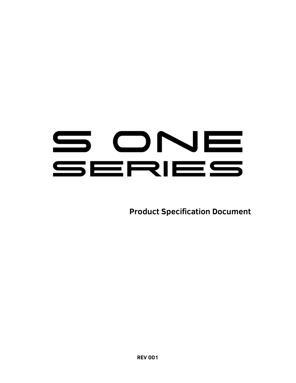# SONE SERIES

Product Specification Document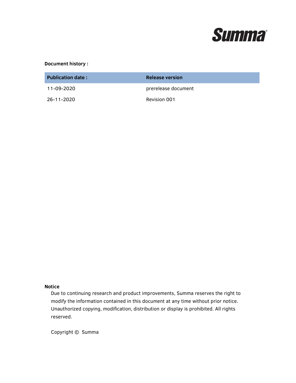

#### Document history :

| <b>Publication date:</b> | Release version     |
|--------------------------|---------------------|
| 11-09-2020               | prerelease document |
| 26-11-2020               | Revision 001        |

#### Notice

Due to continuing research and product improvements, Summa reserves the right to modify the information contained in this document at any time without prior notice. Unauthorized copying, modification, distribution or display is prohibited. All rights reserved.

Copyright © Summa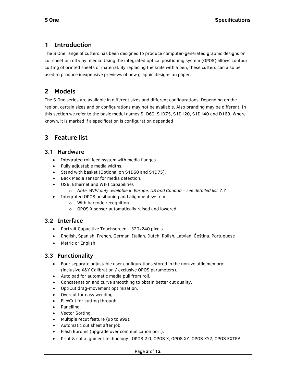# 1 Introduction

The S One range of cutters has been designed to produce computer-generated graphic designs on cut sheet or roll vinyl media. Using the integrated optical positioning system (OPOS) allows contour cutting of printed sheets of material. By replacing the knife with a pen, these cutters can also be used to produce inexpensive previews of new graphic designs on paper.

# 2 Models

The S One series are available in different sizes and different configurations. Depending on the region, certain sizes and or configurations may not be available. Also branding may be different. In this section we refer to the basic model names S1D60, S1D75, S1D120, S1D140 and D160. Where known, it is marked if a specification is configuration depended

# 3 Feature list

## 3.1 Hardware

- Integrated roll feed system with media flanges
- Fully adjustable media widths.
- Stand with basket (Optional on S1D60 and S1D75).
- **•** Back Media sensor for media detection.
- USB, Ethernet and WIFI capabilities
- o Note: WIFI only available in Europe, US and Canada see detailed list 7.7
- Integrated OPOS positioning and alignment system.
	- o With barcode recognition
	- o OPOS X sensor automatically raised and lowered

# 3.2 Interface

- Portrait Capacitive Touchscreen 320x240 pixels
- English, Spanish, French, German, Italian, Dutch, Polish, Latvian, Čeština, Portuguese
- Metric or English

# 3.3 Functionality

- Four separate adjustable user configurations stored in the non-volatile memory: (inclusive X&Y Calibration / exclusive OPOS parameters).
- Autoload for automatic media pull from roll.
- Concatenation and curve smoothing to obtain better cut quality.
- OptiCut drag-movement optimization.
- Overcut for easy weeding.
- FlexCut for cutting through.
- Panelling.
- Vector Sorting.
- Multiple recut feature (up to 999).
- Automatic cut sheet after job.
- Flash Eproms (upgrade over communication port).
- Print & cut alignment technology : OPOS 2.0, OPOS X, OPOS XY, OPOS XY2, OPOS EXTRA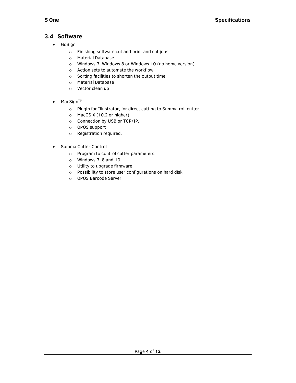# 3.4 Software

- GoSign
	- o Finishing software cut and print and cut jobs
	- o Material Database
	- o Windows 7, Windows 8 or Windows 10 (no home version)
	- o Action sets to automate the workflow
	- o Sorting facilities to shorten the output time
	- o Material Database
	- o Vector clean up
- $\bullet$  MacSign<sup>TM</sup>
	- o Plugin for Illustrator, for direct cutting to Summa roll cutter.
	- o MacOS X (10.2 or higher)
	- o Connection by USB or TCP/IP.
	- o OPOS support
	- o Registration required.
- Summa Cutter Control
	- o Program to control cutter parameters.
	- o Windows 7, 8 and 10.
	- o Utility to upgrade firmware
	- o Possibility to store user configurations on hard disk
	- o OPOS Barcode Server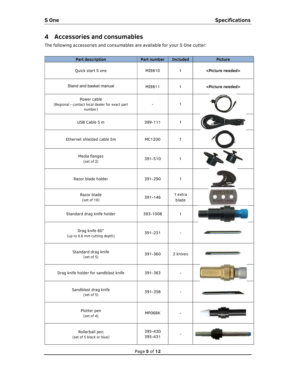# 4 Accessories and consumables

The following accessories and consumables are available for your S One cutter:

| <b>Part description</b>                                                   | Part number        | <b>Included</b>          | <b>Picture</b>                |
|---------------------------------------------------------------------------|--------------------|--------------------------|-------------------------------|
| Quick start S one                                                         | MI9810             | $\mathbf{1}$             | <picture needed=""></picture> |
| Stand and basket manual                                                   | MI9811             | $\mathbf{1}$             | <picture needed=""></picture> |
| Power cable<br>(Regional - contact local dealer for exact part<br>number) |                    | $\mathbf{1}$             |                               |
| USB Cable 5 m                                                             | 399-111            | $\mathbf{1}$             |                               |
| Ethernet shielded cable 5m                                                | MC1200             | $\mathbf{1}$             |                               |
| Media flanges<br>(set of 2)                                               | 391-510            | $\mathbf{1}$             |                               |
| Razor blade holder                                                        | 391-290            | $\mathbf{1}$             |                               |
| Razor blade<br>(set of 10)                                                | 391-146            | 1 extra<br>blade         | <b>MARTOS</b>                 |
| Standard drag knife holder                                                | 393-1008           | $\mathbf{1}$             |                               |
| Drag knife 60°<br>(up to 0.6 mm cutting depth)                            | 391-231            |                          |                               |
| Standard drag knife<br>(set of 5)                                         | 391-360            | 2 knives                 |                               |
| Drag knife holder for sandblast knife                                     | 391-363            |                          |                               |
| Sandblast drag knife<br>(set of 5)                                        | 391-358            | $\overline{\phantom{a}}$ |                               |
| Plotter pen<br>(set of 4)                                                 | MP06BK             | $\overline{\phantom{a}}$ |                               |
| Rollerball pen<br>(set of 5 black or blue)                                | 395-430<br>395-431 | $\overline{\phantom{a}}$ |                               |

Page 5 of 12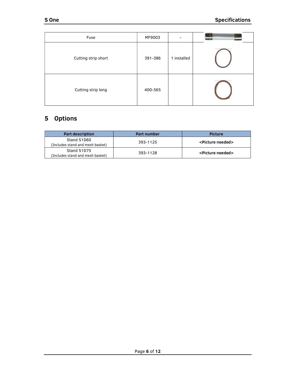| Fuse                | MF9003  | $\overline{\phantom{a}}$ |  |
|---------------------|---------|--------------------------|--|
| Cutting strip short | 391-386 | 1 installed              |  |
| Cutting strip long  | 400-565 |                          |  |

# 5 Options

| <b>Part description</b>                         | Part number | <b>Picture</b>                |
|-------------------------------------------------|-------------|-------------------------------|
| Stand S1D60<br>(Includes stand and mesh basket) | 393-1125    | <picture needed=""></picture> |
| Stand S1D75<br>(Includes stand and mesh basket) | 393-1128    | <picture needed=""></picture> |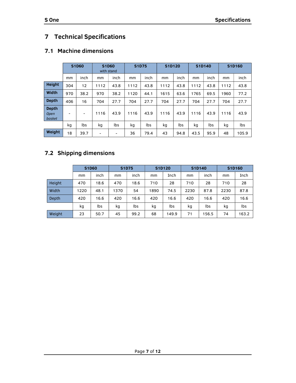# 7 Technical Specifications

# 7.1 Machine dimensions

|                                       |     | <b>S1D60</b>             | S1D60 | with stand               | <b>S1D75</b> |      | S1D120 |      | S1D140 |      |      | S1D160 |
|---------------------------------------|-----|--------------------------|-------|--------------------------|--------------|------|--------|------|--------|------|------|--------|
|                                       | mm  | inch                     | mm    | inch                     | mm           | inch | mm     | inch | mm     | inch | mm   | inch   |
| <b>Height</b>                         | 304 | 12                       | 1112  | 43.8                     | 1112         | 43.8 | 1112   | 43.8 | 1112   | 43.8 | 1112 | 43.8   |
| Width                                 | 970 | 38.2                     | 970   | 38.2                     | 1120         | 44.1 | 1615   | 63.6 | 1765   | 69.5 | 960  | 77.2   |
| <b>Depth</b>                          | 406 | 16                       | 704   | 27.7                     | 704          | 27.7 | 704    | 27.7 | 704    | 27.7 | 704  | 27.7   |
| <b>Depth</b><br><b>Open</b><br>basket | -   | $\overline{\phantom{0}}$ | 1116  | 43.9                     | 1116         | 43.9 | 1116   | 43.9 | 1116   | 43.9 | 1116 | 43.9   |
|                                       | kg  | lbs                      | kg    | lbs                      | kg           | lbs  | kg     | lbs  | kg     | lbs  | kg   | lbs    |
| Weight                                | 18  | 39.7                     | -     | $\overline{\phantom{0}}$ | 36           | 79.4 | 43     | 94.8 | 43.5   | 95.9 | 48   | 105.9  |

# 7.2 Shipping dimensions

|        | S1D60 |      | <b>S1D75</b> |      | S1D120 |       | S1D140 |       | S1D160 |       |
|--------|-------|------|--------------|------|--------|-------|--------|-------|--------|-------|
|        | mm    | inch | mm           | inch | mm     | Inch  | mm     | inch  | mm     | Inch  |
| Height | 470   | 18.6 | 470          | 18.6 | 710    | 28    | 710    | 28    | 710    | 28    |
| Width  | 1220  | 48.1 | 370          | 54   | 1890   | 74.5  | 2230   | 87.8  | 2230   | 87.8  |
| Depth  | 420   | 16.6 | 420          | 16.6 | 420    | 16.6  | 420    | 16.6  | 420    | 16.6  |
|        | kg    | lbs  | kg           | lbs  | kq     | lbs   | kg     | lbs   | kg     | lbs   |
| Weight | 23    | 50.7 | 45           | 99.2 | 68     | 149.9 | 71     | 156.5 | 74     | 163.2 |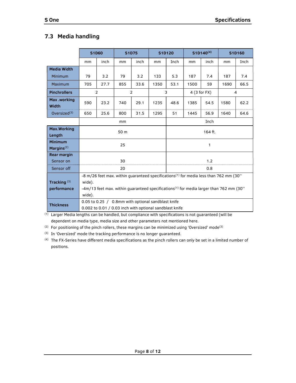# 7.3 Media handling

|                                 |        | <b>S1D60</b>                                            | <b>S1D75</b><br>S1D120 |                |      |         | $S1D140^{(4)}$ |      | S1D160                                                                                             |      |
|---------------------------------|--------|---------------------------------------------------------|------------------------|----------------|------|---------|----------------|------|----------------------------------------------------------------------------------------------------|------|
|                                 | mm     | inch                                                    | mm                     | inch           | mm   | Inch    | mm             | inch | mm                                                                                                 | Inch |
| <b>Media Width</b>              |        |                                                         |                        |                |      |         |                |      |                                                                                                    |      |
| <b>Minimum</b>                  | 79     | 3.2                                                     | 79                     | 3.2            | 133  | 5.3     | 187            | 7.4  | 187                                                                                                | 7.4  |
| Maximum                         | 705    | 27.7                                                    | 855                    | 33.6           | 1350 | 53.1    | 1500           | 59   | 1690                                                                                               | 66.5 |
| <b>Pinchrollers</b>             |        | $\overline{2}$                                          |                        | $\overline{2}$ |      | 3       | $4(3$ for FX)  |      |                                                                                                    | 4    |
| Max .working<br>Width           | 590    | 23.2                                                    | 740                    | 29.1           | 1235 | 48.6    | 1385           | 54.5 | 1580                                                                                               | 62.2 |
| Oversize $d^{(3)}$              | 650    | 25.6                                                    | 800                    | 31.5           | 1295 | 51      | 1445           | 56.9 | 1640                                                                                               | 64.6 |
|                                 |        |                                                         | mm                     |                |      | Inch    |                |      |                                                                                                    |      |
| Max.Working<br>Length           | 50 m   |                                                         |                        |                |      | 164 ft. |                |      |                                                                                                    |      |
| <b>Minimum</b><br>Margins $(2)$ | 25     |                                                         |                        |                |      |         |                | 1    |                                                                                                    |      |
| Rear margin                     |        |                                                         |                        |                |      |         |                |      |                                                                                                    |      |
| Sensor on                       |        |                                                         | 30                     |                |      |         |                | 1.2  |                                                                                                    |      |
| Sensor off                      |        |                                                         | 20                     |                |      |         |                | 0.8  |                                                                                                    |      |
|                                 |        |                                                         |                        |                |      |         |                |      | -8 m/26 feet max. within guaranteed specifications <sup>(1)</sup> for media less than 762 mm (30"  |      |
| Tracking <sup>(3)</sup>         | wide). |                                                         |                        |                |      |         |                |      |                                                                                                    |      |
| performance                     |        |                                                         |                        |                |      |         |                |      | -4m/13 feet max. within quaranteed specifications <sup>(1)</sup> for media larger than 762 mm (30" |      |
|                                 | wide). |                                                         |                        |                |      |         |                |      |                                                                                                    |      |
| <b>Thickness</b>                |        | 0.05 to 0.25 / 0.8mm with optional sandblast knife      |                        |                |      |         |                |      |                                                                                                    |      |
|                                 |        | 0.002 to 0.01 / 0.03 inch with optional sandblast knife |                        |                |      |         |                |      |                                                                                                    |      |

(1) Larger Media lengths can be handled, but compliance with specifications is not guaranteed (will be dependent on media type, media size and other parameters not mentioned here.

<sup>(2)</sup> For positioning of the pinch rollers, these margins can be minimized using 'Oversized' mode<sup>(3)</sup>

(3) In 'Oversized' mode the tracking performance is no longer guaranteed.

(4) The FX-Series have different media specifications as the pinch rollers can only be set in a limited number of positions.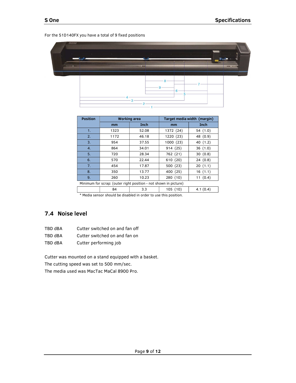8 9  $6 -$ 3 þ

| <b>Position</b>                                                  | <b>Working area</b> |             | Target media width (margin) |            |  |  |  |
|------------------------------------------------------------------|---------------------|-------------|-----------------------------|------------|--|--|--|
|                                                                  | <sub>mm</sub>       | <b>Inch</b> | mm                          | Inch       |  |  |  |
|                                                                  | 1323                | 52.08       | 1372 (24)                   | 54(1.0)    |  |  |  |
| 2.                                                               | 1172                | 46.18       | 1220 (23)                   | 48 (0.9)   |  |  |  |
| 3.                                                               | 954                 | 37.55       | 1000(23)                    | 40 (1.2)   |  |  |  |
| 4.                                                               | 864                 | 34.01       | 914(25)                     | 36(1.0)    |  |  |  |
| 5.                                                               | 720                 | 28.34       | 762 (21)                    | 30(0.8)    |  |  |  |
| 6.                                                               | 570                 | 22.44       | 610(20)                     | 24(0.8)    |  |  |  |
| 7.                                                               | 454                 | 17.87       | 500(23)                     | 20(1.1)    |  |  |  |
| 8.                                                               | 350                 | 13.77       | 400 (25)                    | 16(1.1)    |  |  |  |
| 9.                                                               | 260                 | 10.23       | 280(10)                     | 11 $(0.4)$ |  |  |  |
| Minimum for scrap: (outer right position - not shown in picture) |                     |             |                             |            |  |  |  |
|                                                                  | 84                  | 3.3         | 105(10)                     | 4.1(0.4)   |  |  |  |

\* Media sensor should be disabled in order to use this position.

## 7.4 Noise level

| TBD dBA | Cutter switched on and fan off |
|---------|--------------------------------|
|         |                                |

- TBD dBA Cutter switched on and fan on
- TBD dBA Cutter performing job

Cutter was mounted on a stand equipped with a basket. The cutting speed was set to 500 mm/sec. The media used was MacTac MaCal 8900 Pro.

#### For the S1D140FX you have a total of 9 fixed positions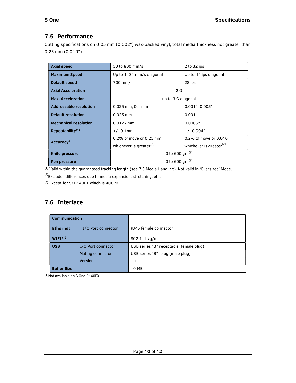# 7.5 Performance

Cutting specifications on 0.05 mm (0.002") wax-backed vinyl, total media thickness not greater than 0.25 mm (0.010")

| <b>Axial speed</b>            | 50 to 800 mm/s<br>2 to 32 ips       |                                     |  |  |  |
|-------------------------------|-------------------------------------|-------------------------------------|--|--|--|
| <b>Maximum Speed</b>          | Up to 1131 mm/s diagonal            | Up to 44 ips diagonal               |  |  |  |
| Default speed                 | 700 mm/s                            | 28 ips                              |  |  |  |
| <b>Axial Acceleration</b>     | 2G                                  |                                     |  |  |  |
| <b>Max. Acceleration</b>      | up to 3 G diagonal                  |                                     |  |  |  |
| <b>Addressable resolution</b> | $0.025$ mm, $0.1$ mm                | $0.001$ ", $0.005$ "                |  |  |  |
| Default resolution            | $0.025$ mm                          | 0.001"                              |  |  |  |
| <b>Mechanical resolution</b>  | $0.0127$ mm                         | 0.0005"                             |  |  |  |
| Repeatability <sup>(1)</sup>  | $+/- 0.1$ mm                        | $+/- 0.004"$                        |  |  |  |
| Accuracy*                     | 0.2% of move or 0.25 mm,            | 0.2% of move or 0.010",             |  |  |  |
|                               | whichever is greater <sup>(2)</sup> | whichever is greater <sup>(2)</sup> |  |  |  |
| Knife pressure                | 0 to 600 gr. $(3)$                  |                                     |  |  |  |
| Pen pressure                  | 0 to 600 gr. $(3)$                  |                                     |  |  |  |

(1) Valid within the guaranteed tracking length (see 7.3 Media Handling). Not valid in 'Oversized' Mode.

 $^{(2)}$ Excludes differences due to media expansion, stretching, etc.

(3) Except for S1D140FX which is 400 gr.

## 7.6 Interface

|                                       | <b>Communication</b> |                                         |
|---------------------------------------|----------------------|-----------------------------------------|
| <b>Ethernet</b><br>I/O Port connector |                      | RJ45 female connector                   |
| WIFI <sup>(1)</sup>                   |                      | 802.11 b/q/n                            |
| <b>USB</b>                            | I/O Port connector   | USB series "B" receptacle (female plug) |
|                                       | Mating connector     | USB series "B" plug (male plug)         |
|                                       | Version              | 1.1                                     |
| <b>Buffer Size</b>                    |                      | 10 MB                                   |

(1)Not available on S One D140FX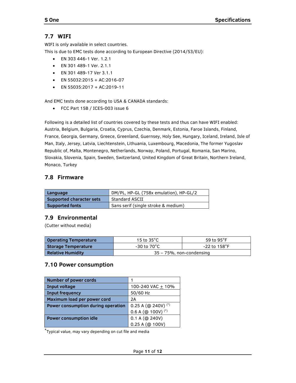# 7.7 WIFI

WIFI is only available in select countries.

This is due to EMC tests done according to European Directive (2014/53/EU):

- EN 303 446-1 Ver. 1.2.1
- EN 301 489-1 Ver. 2.1.1
- EN 301 489-17 Ver 3.1.1
- $\bullet$  EN 55032:2015 + AC:2016-07
- $\bullet$  EN 55035:2017 + AC:2019-11

And EMC tests done according to USA & CANADA standards:

FCC Part 15B / ICES-003 issue 6

Following is a detailed list of countries covered by these tests and thus can have WIFI enabled: Austria, Belgium, Bulgaria, Croatia, Cyprus, Czechia, Denmark, Estonia, Faroe Islands, Finland, France, Georgia, Germany, Greece, Greenland, Guernsey, Holy See, Hungary, Iceland, Ireland, Isle of Man, Italy, Jersey, Latvia, Liechtenstein, Lithuania, Luxembourg, Macedonia, The former Yugoslav Republic of, Malta, Montenegro, Netherlands, Norway, Poland, Portugal, Romania, San Marino, Slovakia, Slovenia, Spain, Sweden, Switzerland, United Kingdom of Great Britain, Northern Ireland, Monaco, Turkey

## 7.8 Firmware

| Language                 | DM/PL, HP-GL (758x emulation), HP-GL/2 |
|--------------------------|----------------------------------------|
| Supported character sets | Standard ASCII                         |
| <b>Supported fonts</b>   | Sans serif (single stroke & medium)    |

#### 7.9 Environmental

(Cutter without media)

| <b>Operating Temperature</b> | 15 to $35^{\circ}$ C     | 59 to $95^{\circ}$ F      |
|------------------------------|--------------------------|---------------------------|
| Storage Temperature          | -30 to 70°C              | $-22$ to 158 $^{\circ}$ F |
| <b>Relative Humidity</b>     | 35 - 75%, non-condensing |                           |

#### 7.10 Power consumption

| <b>Number of power cords</b>       |                                  |
|------------------------------------|----------------------------------|
| <b>Input voltage</b>               | 100-240 VAC + 10%                |
| <b>Input frequency</b>             | 50/60 Hz                         |
| Maximum load per power cord        | 2A                               |
| Power consumption during operation | 0.25 A (@ 240V) $(*)$            |
|                                    | 0.6 A ( $@100V$ ) <sup>(*)</sup> |
| <b>Power consumption idle</b>      | $0.1 A$ (@ 240V)                 |
|                                    | 0.25 A (@ 100V)                  |

\*Typical value, may vary depending on cut file and media